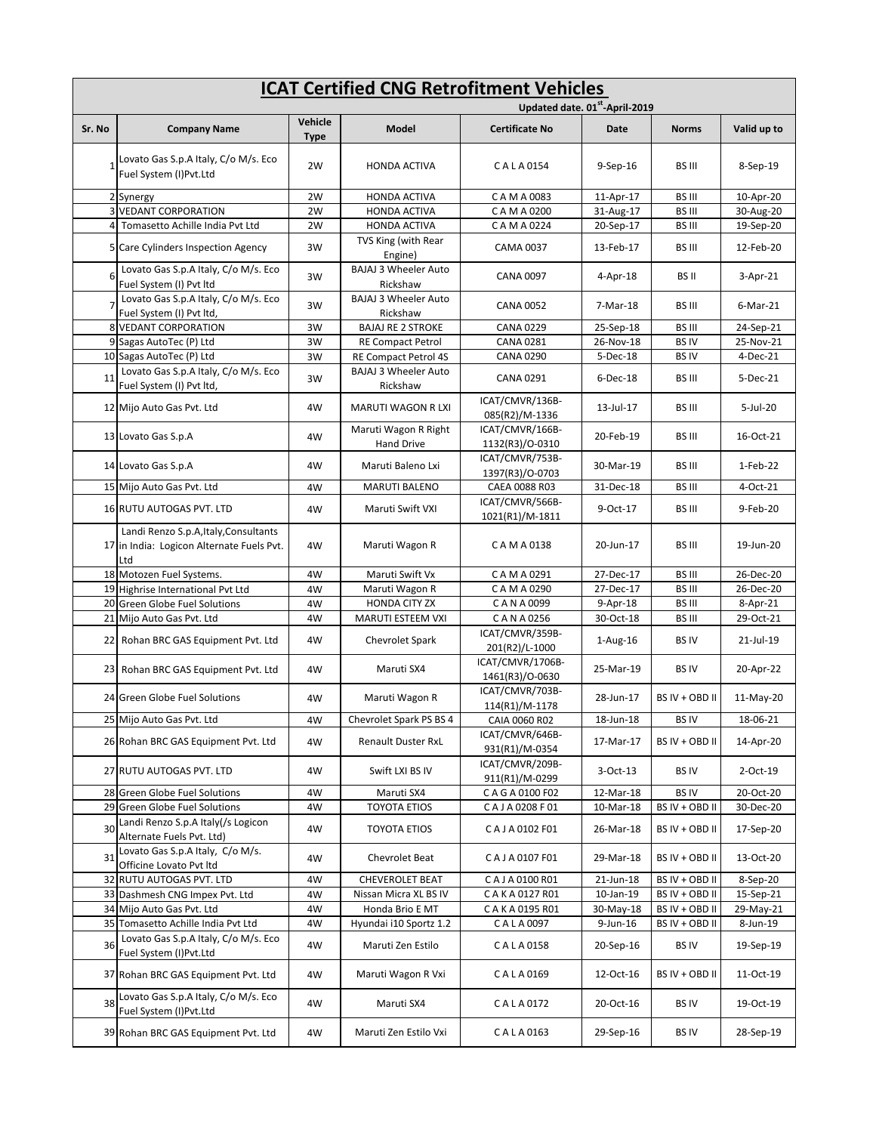| <b>ICAT Certified CNG Retrofitment Vehicles</b> |                                                                                           |                        |                                         |                                     |             |                |                 |  |  |  |
|-------------------------------------------------|-------------------------------------------------------------------------------------------|------------------------|-----------------------------------------|-------------------------------------|-------------|----------------|-----------------|--|--|--|
| Updated date. 01st-April-2019                   |                                                                                           |                        |                                         |                                     |             |                |                 |  |  |  |
| Sr. No                                          | <b>Company Name</b>                                                                       | Vehicle<br><b>Type</b> | <b>Model</b>                            | <b>Certificate No</b>               | Date        | <b>Norms</b>   | Valid up to     |  |  |  |
|                                                 | Lovato Gas S.p.A Italy, C/o M/s. Eco<br>Fuel System (I)Pvt.Ltd                            | 2W                     | <b>HONDA ACTIVA</b>                     | CALA0154                            | 9-Sep-16    | <b>BS III</b>  | 8-Sep-19        |  |  |  |
|                                                 | 2 Synergy                                                                                 | 2W                     | <b>HONDA ACTIVA</b>                     | C A M A 0083                        | 11-Apr-17   | <b>BS III</b>  | 10-Apr-20       |  |  |  |
|                                                 | 3 VEDANT CORPORATION                                                                      | 2W                     | <b>HONDA ACTIVA</b>                     | C A M A 0200                        | 31-Aug-17   | <b>BS III</b>  | 30-Aug-20       |  |  |  |
|                                                 | 4 Tomasetto Achille India Pvt Ltd                                                         | 2W                     | <b>HONDA ACTIVA</b>                     | C A M A 0224                        | 20-Sep-17   | <b>BS III</b>  | 19-Sep-20       |  |  |  |
|                                                 | 5 Care Cylinders Inspection Agency                                                        | 3W                     | TVS King (with Rear<br>Engine)          | <b>CAMA 0037</b>                    | 13-Feb-17   | <b>BS III</b>  | 12-Feb-20       |  |  |  |
|                                                 | Lovato Gas S.p.A Italy, C/o M/s. Eco<br>Fuel System (I) Pvt ltd                           | 3W                     | <b>BAJAJ 3 Wheeler Auto</b><br>Rickshaw | <b>CANA 0097</b>                    | 4-Apr-18    | BS II          | $3-Apr-21$      |  |  |  |
|                                                 | Lovato Gas S.p.A Italy, C/o M/s. Eco<br>Fuel System (I) Pvt ltd,                          | 3W                     | <b>BAJAJ 3 Wheeler Auto</b><br>Rickshaw | <b>CANA 0052</b>                    | 7-Mar-18    | <b>BS III</b>  | $6$ -Mar-21     |  |  |  |
|                                                 | 8 VEDANT CORPORATION                                                                      | 3W                     | <b>BAJAJ RE 2 STROKE</b>                | <b>CANA 0229</b>                    | 25-Sep-18   | <b>BS III</b>  | 24-Sep-21       |  |  |  |
|                                                 | 9 Sagas AutoTec (P) Ltd                                                                   | 3W                     | <b>RE Compact Petrol</b>                | <b>CANA 0281</b>                    | 26-Nov-18   | <b>BSIV</b>    | 25-Nov-21       |  |  |  |
|                                                 | 10 Sagas AutoTec (P) Ltd                                                                  | 3W                     | RE Compact Petrol 4S                    | <b>CANA 0290</b>                    | 5-Dec-18    | <b>BSIV</b>    | 4-Dec-21        |  |  |  |
| 11                                              | Lovato Gas S.p.A Italy, C/o M/s. Eco<br>Fuel System (I) Pvt ltd,                          | 3W                     | <b>BAJAJ 3 Wheeler Auto</b><br>Rickshaw | <b>CANA 0291</b>                    | $6$ -Dec-18 | BS III         | 5-Dec-21        |  |  |  |
|                                                 | 12 Mijo Auto Gas Pvt. Ltd                                                                 | 4W                     | <b>MARUTI WAGON R LXI</b>               | ICAT/CMVR/136B-<br>085(R2)/M-1336   | 13-Jul-17   | BS III         | $5 -$ Jul $-20$ |  |  |  |
|                                                 | 13 Lovato Gas S.p.A                                                                       | 4W                     | Maruti Wagon R Right<br>Hand Drive      | ICAT/CMVR/166B-<br>1132(R3)/O-0310  | 20-Feb-19   | <b>BS III</b>  | 16-Oct-21       |  |  |  |
|                                                 | 14 Lovato Gas S.p.A                                                                       | 4W                     | Maruti Baleno Lxi                       | ICAT/CMVR/753B-<br>1397(R3)/O-0703  | 30-Mar-19   | <b>BS III</b>  | 1-Feb-22        |  |  |  |
|                                                 | 15 Mijo Auto Gas Pvt. Ltd                                                                 | 4W                     | <b>MARUTI BALENO</b>                    | CAEA 0088 R03                       | 31-Dec-18   | <b>BS III</b>  | 4-Oct-21        |  |  |  |
|                                                 | 16 RUTU AUTOGAS PVT. LTD                                                                  | 4W                     | Maruti Swift VXI                        | ICAT/CMVR/566B-<br>1021(R1)/M-1811  | 9-Oct-17    | <b>BS III</b>  | 9-Feb-20        |  |  |  |
|                                                 | Landi Renzo S.p.A, Italy, Consultants<br>17 in India: Logicon Alternate Fuels Pvt.<br>Ltd | 4W                     | Maruti Wagon R                          | C A M A 0138                        | 20-Jun-17   | <b>BS III</b>  | 19-Jun-20       |  |  |  |
|                                                 | 18 Motozen Fuel Systems.                                                                  | 4W                     | Maruti Swift Vx                         | C A M A 0291                        | 27-Dec-17   | <b>BS III</b>  | 26-Dec-20       |  |  |  |
|                                                 | 19 Highrise International Pvt Ltd                                                         | 4W                     | Maruti Wagon R                          | C A M A 0290                        | 27-Dec-17   | <b>BS III</b>  | 26-Dec-20       |  |  |  |
|                                                 | 20 Green Globe Fuel Solutions                                                             | 4W                     | <b>HONDA CITY ZX</b>                    | C A N A 0099                        | 9-Apr-18    | <b>BS III</b>  | 8-Apr-21        |  |  |  |
|                                                 | 21 Mijo Auto Gas Pvt. Ltd                                                                 | 4W                     | MARUTI ESTEEM VXI                       | C A N A 0256                        | 30-Oct-18   | <b>BS III</b>  | 29-Oct-21       |  |  |  |
|                                                 | 22 Rohan BRC GAS Equipment Pvt. Ltd                                                       | 4W                     | Chevrolet Spark                         | ICAT/CMVR/359B-<br>201(R2)/L-1000   | $1-Aug-16$  | <b>BSIV</b>    | 21-Jul-19       |  |  |  |
|                                                 | 23 Rohan BRC GAS Equipment Pvt. Ltd                                                       | 4W                     | Maruti SX4                              | ICAT/CMVR/1706B-<br>1461(R3)/O-0630 | 25-Mar-19   | <b>BSIV</b>    | 20-Apr-22       |  |  |  |
|                                                 | 24 Green Globe Fuel Solutions                                                             | 4W                     | Maruti Wagon R                          | ICAT/CMVR/703B-<br>114(R1)/M-1178   | 28-Jun-17   | BS IV + OBD II | 11-May-20       |  |  |  |
|                                                 | 25 Mijo Auto Gas Pvt. Ltd                                                                 | 4W                     | Chevrolet Spark PS BS 4                 | CAIA 0060 R02                       | 18-Jun-18   | <b>BSIV</b>    | 18-06-21        |  |  |  |
|                                                 | 26 Rohan BRC GAS Equipment Pvt. Ltd                                                       | 4W                     | <b>Renault Duster RxL</b>               | ICAT/CMVR/646B-<br>931(R1)/M-0354   | 17-Mar-17   | BS IV + OBD II | 14-Apr-20       |  |  |  |
|                                                 | 27 RUTU AUTOGAS PVT. LTD                                                                  | 4W                     | Swift LXI BS IV                         | ICAT/CMVR/209B-<br>911(R1)/M-0299   | 3-Oct-13    | <b>BSIV</b>    | 2-Oct-19        |  |  |  |
|                                                 | 28 Green Globe Fuel Solutions                                                             | 4W                     | Maruti SX4                              | C A G A 0100 F02                    | 12-Mar-18   | <b>BSIV</b>    | 20-Oct-20       |  |  |  |
|                                                 | 29 Green Globe Fuel Solutions                                                             | 4W                     | <b>TOYOTA ETIOS</b>                     | CAJA0208F01                         | 10-Mar-18   | BS IV + OBD II | 30-Dec-20       |  |  |  |
| 30                                              | Landi Renzo S.p.A Italy(/s Logicon<br>Alternate Fuels Pvt. Ltd)                           | 4W                     | <b>TOYOTA ETIOS</b>                     | C A J A 0102 F01                    | 26-Mar-18   | BS IV + OBD II | 17-Sep-20       |  |  |  |
| 31                                              | Lovato Gas S.p.A Italy, C/o M/s.<br>Officine Lovato Pvt ltd                               | 4W                     | <b>Chevrolet Beat</b>                   | CAJA0107 F01                        | 29-Mar-18   | BS IV + OBD II | 13-Oct-20       |  |  |  |
|                                                 | 32 RUTU AUTOGAS PVT. LTD                                                                  | 4W                     | <b>CHEVEROLET BEAT</b>                  | CAJA0100R01                         | 21-Jun-18   | BS IV + OBD II | 8-Sep-20        |  |  |  |
|                                                 | 33 Dashmesh CNG Impex Pvt. Ltd                                                            | 4W                     | Nissan Micra XL BS IV                   | CAKA0127R01                         | 10-Jan-19   | BS IV + OBD II | 15-Sep-21       |  |  |  |
|                                                 | 34 Mijo Auto Gas Pvt. Ltd                                                                 | 4W                     | Honda Brio E MT                         | C A K A 0195 R01                    | 30-May-18   | BS IV + OBD II | 29-May-21       |  |  |  |
|                                                 | 35 Tomasetto Achille India Pvt Ltd                                                        | 4W                     | Hyundai i10 Sportz 1.2                  | CALA0097                            | 9-Jun-16    | BS IV + OBD II | 8-Jun-19        |  |  |  |
| 36                                              | Lovato Gas S.p.A Italy, C/o M/s. Eco<br>Fuel System (I)Pvt.Ltd                            | 4W                     | Maruti Zen Estilo                       | CALA0158                            | 20-Sep-16   | <b>BSIV</b>    | 19-Sep-19       |  |  |  |
|                                                 | 37 Rohan BRC GAS Equipment Pvt. Ltd                                                       | 4W                     | Maruti Wagon R Vxi                      | CALA0169                            | 12-Oct-16   | BS IV + OBD II | 11-Oct-19       |  |  |  |
| 38                                              | Lovato Gas S.p.A Italy, C/o M/s. Eco<br>Fuel System (I)Pvt.Ltd                            | 4W                     | Maruti SX4                              | CALA0172                            | 20-Oct-16   | <b>BSIV</b>    | 19-Oct-19       |  |  |  |
|                                                 | 39 Rohan BRC GAS Equipment Pvt. Ltd                                                       | 4W                     | Maruti Zen Estilo Vxi                   | CALA0163                            | 29-Sep-16   | <b>BSIV</b>    | 28-Sep-19       |  |  |  |